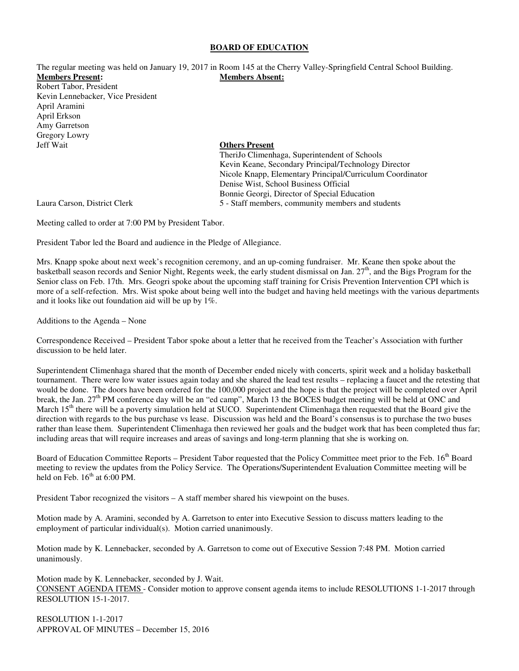#### **BOARD OF EDUCATION**

The regular meeting was held on January 19, 2017 in Room 145 at the Cherry Valley-Springfield Central School Building. **Members Present: Members Absent:**  Robert Tabor, President Kevin Lennebacker, Vice President April Aramini April Erkson Amy Garretson

**Others Present** 

 TheriJo Climenhaga, Superintendent of Schools Kevin Keane, Secondary Principal/Technology Director Nicole Knapp, Elementary Principal/Curriculum Coordinator Denise Wist, School Business Official Bonnie Georgi, Director of Special Education Laura Carson, District Clerk 5 - Staff members, community members and students

Gregory Lowry<br>Jeff Wait

Meeting called to order at 7:00 PM by President Tabor.

President Tabor led the Board and audience in the Pledge of Allegiance.

Mrs. Knapp spoke about next week's recognition ceremony, and an up-coming fundraiser. Mr. Keane then spoke about the basketball season records and Senior Night, Regents week, the early student dismissal on Jan.  $27<sup>th</sup>$ , and the Bigs Program for the Senior class on Feb. 17th. Mrs. Geogri spoke about the upcoming staff training for Crisis Prevention Intervention CPI which is more of a self-refection. Mrs. Wist spoke about being well into the budget and having held meetings with the various departments and it looks like out foundation aid will be up by 1%.

Additions to the Agenda – None

Correspondence Received – President Tabor spoke about a letter that he received from the Teacher's Association with further discussion to be held later.

Superintendent Climenhaga shared that the month of December ended nicely with concerts, spirit week and a holiday basketball tournament. There were low water issues again today and she shared the lead test results – replacing a faucet and the retesting that would be done. The doors have been ordered for the 100,000 project and the hope is that the project will be completed over April break, the Jan. 27<sup>th</sup> PM conference day will be an "ed camp", March 13 the BOCES budget meeting will be held at ONC and March  $15<sup>th</sup>$  there will be a poverty simulation held at SUCO. Superintendent Climenhaga then requested that the Board give the direction with regards to the bus purchase vs lease. Discussion was held and the Board's consensus is to purchase the two buses rather than lease them. Superintendent Climenhaga then reviewed her goals and the budget work that has been completed thus far; including areas that will require increases and areas of savings and long-term planning that she is working on.

Board of Education Committee Reports – President Tabor requested that the Policy Committee meet prior to the Feb.  $16<sup>th</sup>$  Board meeting to review the updates from the Policy Service. The Operations/Superintendent Evaluation Committee meeting will be held on Feb.  $16^{th}$  at 6:00 PM.

President Tabor recognized the visitors – A staff member shared his viewpoint on the buses.

Motion made by A. Aramini, seconded by A. Garretson to enter into Executive Session to discuss matters leading to the employment of particular individual(s). Motion carried unanimously.

Motion made by K. Lennebacker, seconded by A. Garretson to come out of Executive Session 7:48 PM. Motion carried unanimously.

Motion made by K. Lennebacker, seconded by J. Wait. CONSENT AGENDA ITEMS - Consider motion to approve consent agenda items to include RESOLUTIONS 1-1-2017 through RESOLUTION 15-1-2017.

RESOLUTION 1-1-2017 APPROVAL OF MINUTES – December 15, 2016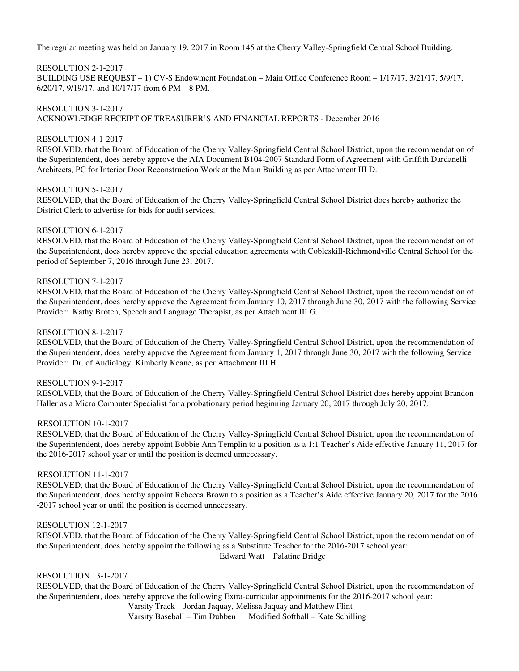The regular meeting was held on January 19, 2017 in Room 145 at the Cherry Valley-Springfield Central School Building.

# RESOLUTION 2-1-2017

BUILDING USE REQUEST – 1) CV-S Endowment Foundation – Main Office Conference Room – 1/17/17, 3/21/17, 5/9/17, 6/20/17, 9/19/17, and 10/17/17 from 6 PM – 8 PM.

RESOLUTION 3-1-2017 ACKNOWLEDGE RECEIPT OF TREASURER'S AND FINANCIAL REPORTS - December 2016

# RESOLUTION 4-1-2017

RESOLVED, that the Board of Education of the Cherry Valley-Springfield Central School District, upon the recommendation of the Superintendent, does hereby approve the AIA Document B104-2007 Standard Form of Agreement with Griffith Dardanelli Architects, PC for Interior Door Reconstruction Work at the Main Building as per Attachment III D.

### RESOLUTION 5-1-2017

RESOLVED, that the Board of Education of the Cherry Valley-Springfield Central School District does hereby authorize the District Clerk to advertise for bids for audit services.

### RESOLUTION 6-1-2017

RESOLVED, that the Board of Education of the Cherry Valley-Springfield Central School District, upon the recommendation of the Superintendent, does hereby approve the special education agreements with Cobleskill-Richmondville Central School for the period of September 7, 2016 through June 23, 2017.

### RESOLUTION 7-1-2017

RESOLVED, that the Board of Education of the Cherry Valley-Springfield Central School District, upon the recommendation of the Superintendent, does hereby approve the Agreement from January 10, 2017 through June 30, 2017 with the following Service Provider: Kathy Broten, Speech and Language Therapist, as per Attachment III G.

### RESOLUTION 8-1-2017

RESOLVED, that the Board of Education of the Cherry Valley-Springfield Central School District, upon the recommendation of the Superintendent, does hereby approve the Agreement from January 1, 2017 through June 30, 2017 with the following Service Provider: Dr. of Audiology, Kimberly Keane, as per Attachment III H.

### RESOLUTION 9-1-2017

RESOLVED, that the Board of Education of the Cherry Valley-Springfield Central School District does hereby appoint Brandon Haller as a Micro Computer Specialist for a probationary period beginning January 20, 2017 through July 20, 2017.

### RESOLUTION 10-1-2017

RESOLVED, that the Board of Education of the Cherry Valley-Springfield Central School District, upon the recommendation of the Superintendent, does hereby appoint Bobbie Ann Templin to a position as a 1:1 Teacher's Aide effective January 11, 2017 for the 2016-2017 school year or until the position is deemed unnecessary.

# RESOLUTION 11-1-2017

RESOLVED, that the Board of Education of the Cherry Valley-Springfield Central School District, upon the recommendation of the Superintendent, does hereby appoint Rebecca Brown to a position as a Teacher's Aide effective January 20, 2017 for the 2016 -2017 school year or until the position is deemed unnecessary.

#### RESOLUTION 12-1-2017

 RESOLVED, that the Board of Education of the Cherry Valley-Springfield Central School District, upon the recommendation of the Superintendent, does hereby appoint the following as a Substitute Teacher for the 2016-2017 school year: Edward Watt Palatine Bridge

## RESOLUTION 13-1-2017

 RESOLVED, that the Board of Education of the Cherry Valley-Springfield Central School District, upon the recommendation of the Superintendent, does hereby approve the following Extra-curricular appointments for the 2016-2017 school year:

Varsity Track – Jordan Jaquay, Melissa Jaquay and Matthew Flint

Varsity Baseball – Tim Dubben Modified Softball – Kate Schilling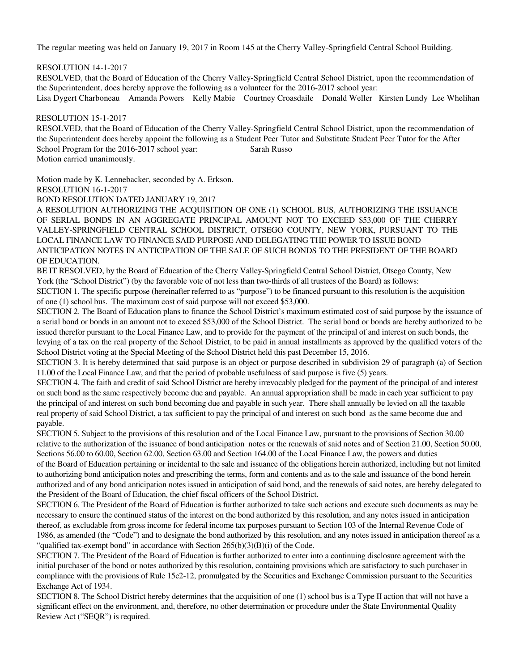The regular meeting was held on January 19, 2017 in Room 145 at the Cherry Valley-Springfield Central School Building.

RESOLUTION 14-1-2017

 RESOLVED, that the Board of Education of the Cherry Valley-Springfield Central School District, upon the recommendation of the Superintendent, does hereby approve the following as a volunteer for the 2016-2017 school year:

Lisa Dygert Charboneau Amanda Powers Kelly Mabie Courtney Croasdaile Donald Weller Kirsten Lundy Lee Whelihan

RESOLUTION 15-1-2017

RESOLVED, that the Board of Education of the Cherry Valley-Springfield Central School District, upon the recommendation of the Superintendent does hereby appoint the following as a Student Peer Tutor and Substitute Student Peer Tutor for the After School Program for the 2016-2017 school year: Sarah Russo Motion carried unanimously.

Motion made by K. Lennebacker, seconded by A. Erkson.

RESOLUTION 16-1-2017

BOND RESOLUTION DATED JANUARY 19, 2017

A RESOLUTION AUTHORIZING THE ACQUISITION OF ONE (1) SCHOOL BUS, AUTHORIZING THE ISSUANCE OF SERIAL BONDS IN AN AGGREGATE PRINCIPAL AMOUNT NOT TO EXCEED \$53,000 OF THE CHERRY VALLEY-SPRINGFIELD CENTRAL SCHOOL DISTRICT, OTSEGO COUNTY, NEW YORK, PURSUANT TO THE LOCAL FINANCE LAW TO FINANCE SAID PURPOSE AND DELEGATING THE POWER TO ISSUE BOND ANTICIPATION NOTES IN ANTICIPATION OF THE SALE OF SUCH BONDS TO THE PRESIDENT OF THE BOARD OF EDUCATION.

BE IT RESOLVED, by the Board of Education of the Cherry Valley-Springfield Central School District, Otsego County, New York (the "School District") (by the favorable vote of not less than two-thirds of all trustees of the Board) as follows:

SECTION 1. The specific purpose (hereinafter referred to as "purpose") to be financed pursuant to this resolution is the acquisition of one (1) school bus. The maximum cost of said purpose will not exceed \$53,000.

SECTION 2. The Board of Education plans to finance the School District's maximum estimated cost of said purpose by the issuance of a serial bond or bonds in an amount not to exceed \$53,000 of the School District. The serial bond or bonds are hereby authorized to be issued therefor pursuant to the Local Finance Law, and to provide for the payment of the principal of and interest on such bonds, the levying of a tax on the real property of the School District, to be paid in annual installments as approved by the qualified voters of the School District voting at the Special Meeting of the School District held this past December 15, 2016.

SECTION 3. It is hereby determined that said purpose is an object or purpose described in subdivision 29 of paragraph (a) of Section 11.00 of the Local Finance Law, and that the period of probable usefulness of said purpose is five (5) years.

SECTION 4. The faith and credit of said School District are hereby irrevocably pledged for the payment of the principal of and interest on such bond as the same respectively become due and payable. An annual appropriation shall be made in each year sufficient to pay the principal of and interest on such bond becoming due and payable in such year. There shall annually be levied on all the taxable real property of said School District, a tax sufficient to pay the principal of and interest on such bond as the same become due and payable.

SECTION 5. Subject to the provisions of this resolution and of the Local Finance Law, pursuant to the provisions of Section 30.00 relative to the authorization of the issuance of bond anticipation notes or the renewals of said notes and of Section 21.00, Section 50.00, Sections 56.00 to 60.00, Section 62.00, Section 63.00 and Section 164.00 of the Local Finance Law, the powers and duties of the Board of Education pertaining or incidental to the sale and issuance of the obligations herein authorized, including but not limited to authorizing bond anticipation notes and prescribing the terms, form and contents and as to the sale and issuance of the bond herein authorized and of any bond anticipation notes issued in anticipation of said bond, and the renewals of said notes, are hereby delegated to the President of the Board of Education, the chief fiscal officers of the School District.

SECTION 6. The President of the Board of Education is further authorized to take such actions and execute such documents as may be necessary to ensure the continued status of the interest on the bond authorized by this resolution, and any notes issued in anticipation thereof, as excludable from gross income for federal income tax purposes pursuant to Section 103 of the Internal Revenue Code of 1986, as amended (the "Code") and to designate the bond authorized by this resolution, and any notes issued in anticipation thereof as a "qualified tax-exempt bond" in accordance with Section 265(b)(3)(B)(i) of the Code.

SECTION 7. The President of the Board of Education is further authorized to enter into a continuing disclosure agreement with the initial purchaser of the bond or notes authorized by this resolution, containing provisions which are satisfactory to such purchaser in compliance with the provisions of Rule 15c2-12, promulgated by the Securities and Exchange Commission pursuant to the Securities Exchange Act of 1934.

SECTION 8. The School District hereby determines that the acquisition of one (1) school bus is a Type II action that will not have a significant effect on the environment, and, therefore, no other determination or procedure under the State Environmental Quality Review Act ("SEQR") is required.